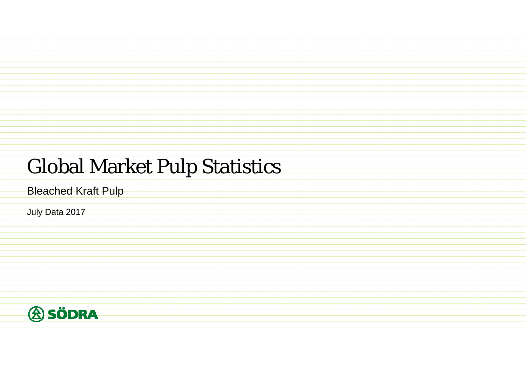## Global Market Pulp Statistics

Bleached Kraft Pulp

July Data 2017

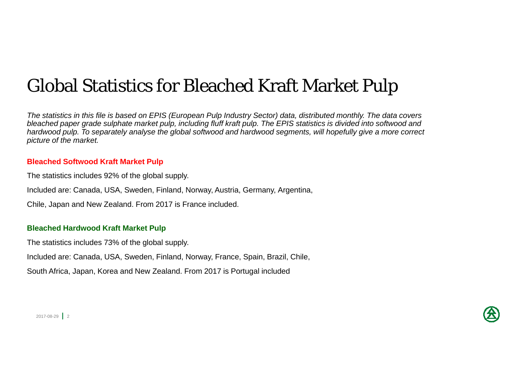## Global Statistics for Bleached Kraft Market Pulp

*The statistics in this file is based on EPIS (European Pulp Industry Sector) data, distributed monthly. The data covers*  bleached paper grade sulphate market pulp, including fluff kraft pulp. The EPIS statistics is divided into softwood and *hardwood pulp. To separately analyse the global softwood and hardwood segments, will hopefully give a more correct picture of the market.*

#### **Bleached Softwood Kraft Market Pulp**

The statistics includes 92% of the global supply.

Included are: Canada, USA, Sweden, Finland, Norway, Austria, Germany, Argentina,

Chile, Japan and New Zealand. From 2017 is France included.

#### **Bleached Hardwood Kraft Market Pulp**

The statistics includes 73% of the global supply.

Included are: Canada, USA, Sweden, Finland, Norway, France, Spain, Brazil, Chile,

South Africa, Japan, Korea and New Zealand. From 2017 is Portugal included

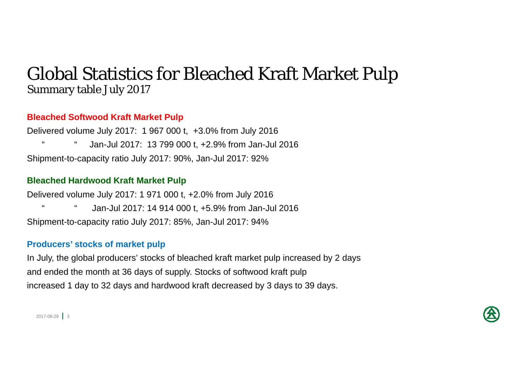### Global Statistics for Bleached Kraft Market Pulp Summary table July 2017

#### **Bleached Softwood Kraft Market Pulp**

Delivered volume July 2017: 1 967 000 t, +3.0% from July 2016 " " Jan-Jul 2017: 13 799 000 t, +2.9% from Jan-Jul 2016 Shipment-to-capacity ratio July 2017: 90%, Jan-Jul 2017: 92%

#### **Bleached Hardwood Kraft Market Pulp**

Delivered volume July 2017: 1 971 000 t, +2.0% from July 2016 Jan-Jul 2017: 14 914 000 t, +5.9% from Jan-Jul 2016 Shipment-to-capacity ratio July 2017: 85%, Jan-Jul 2017: 94%

#### **Producers' stocks of market pulp**

In July, the global producers' stocks of bleached kraft market pulp increased by 2 days and ended the month at 36 days of supply. Stocks of softwood kraft pulp increased 1 day to 32 days and hardwood kraft decreased by 3 days to 39 days.

 $2017 - 08 - 29$  3

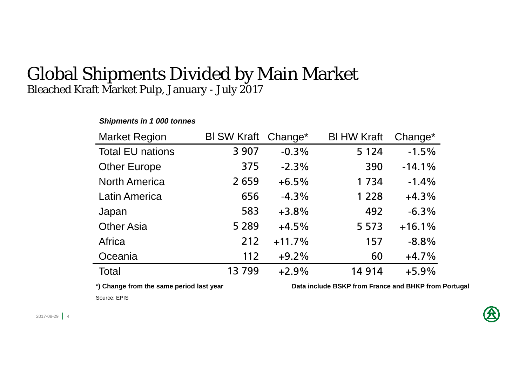#### Global Shipments Divided by Main Market Bleached Kraft Market Pulp, January - July 2017

#### *Shipments in 1 000 tonnes*

| <b>Market Region</b>    | <b>BI SW Kraft</b> | Change <sup>*</sup> | <b>BI HW Kraft</b> | Change*  |
|-------------------------|--------------------|---------------------|--------------------|----------|
| <b>Total EU nations</b> | 3 9 0 7            | $-0.3%$             | 5 1 2 4            | $-1.5%$  |
| <b>Other Europe</b>     | 375                | $-2.3%$             | 390                | $-14.1%$ |
| <b>North America</b>    | 2659               | $+6.5%$             | 1734               | $-1.4%$  |
| <b>Latin America</b>    | 656                | $-4.3%$             | 1 2 2 8            | $+4.3%$  |
| Japan                   | 583                | $+3.8%$             | 492                | $-6.3%$  |
| <b>Other Asia</b>       | 5 2 8 9            | $+4.5%$             | 5 5 7 3            | $+16.1%$ |
| Africa                  | 212                | $+11.7%$            | 157                | $-8.8%$  |
| Oceania                 | 112                | $+9.2%$             | 60                 | $+4.7%$  |
| <b>Total</b>            | 13799              | $+2.9%$             | 14914              | $+5.9%$  |

\*) Change from the same period last year **Data include BSKP** from France and BHKP from Portugal

Source: EPIS

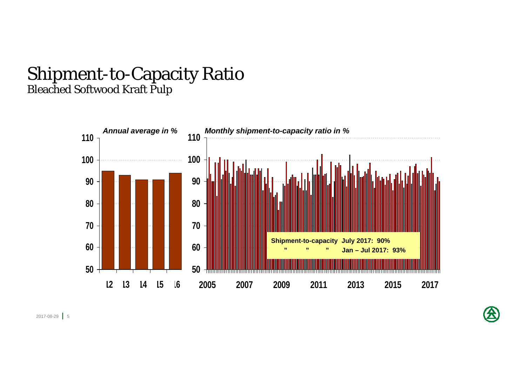#### Shipment-to-Capacity Ratio Bleached Softwood Kraft Pulp



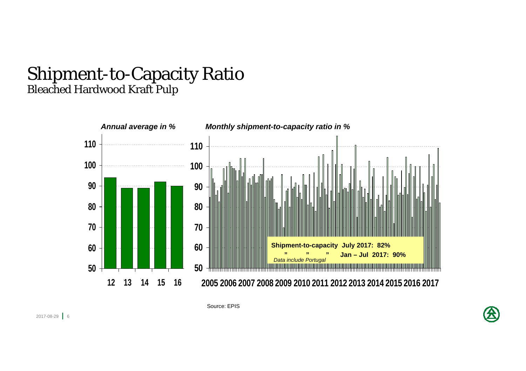#### Shipment-to-Capacity Ratio Bleached Hardwood Kraft Pulp



Source: EPIS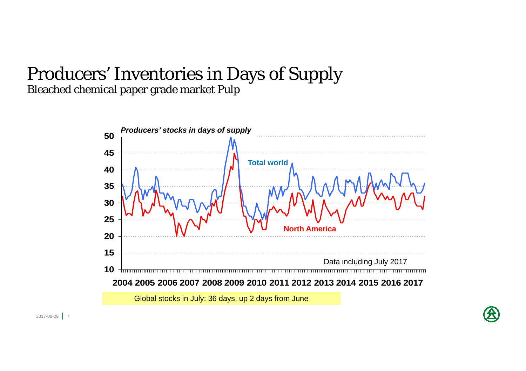### Producers' Inventories in Days of Supply Bleached chemical paper grade market Pulp



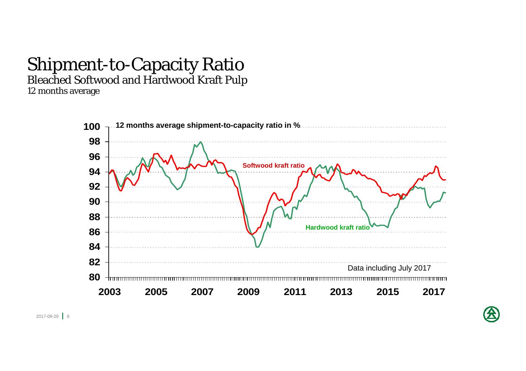# Shipment-to-Capacity Ratio

Bleached Softwood and Hardwood Kraft Pulp

12 months average



2017-08-29 | 8

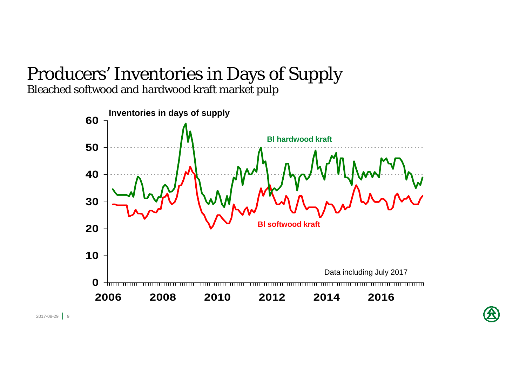# Producers' Inventories in Days of Supply

Bleached softwood and hardwood kraft market pulp

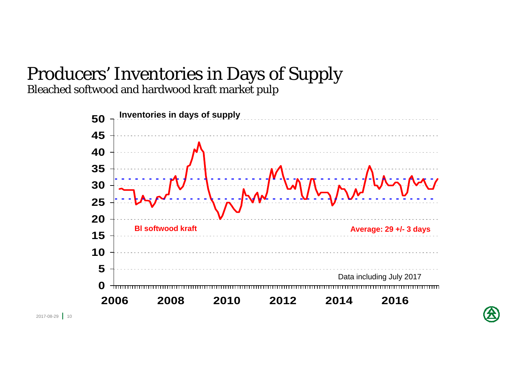# Producers' Inventories in Days of Supply

Bleached softwood and hardwood kraft market pulp



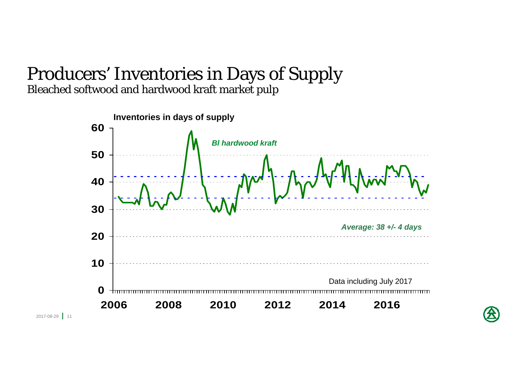#### Producers' Inventories in Days of Supply Bleached softwood and hardwood kraft market pulp



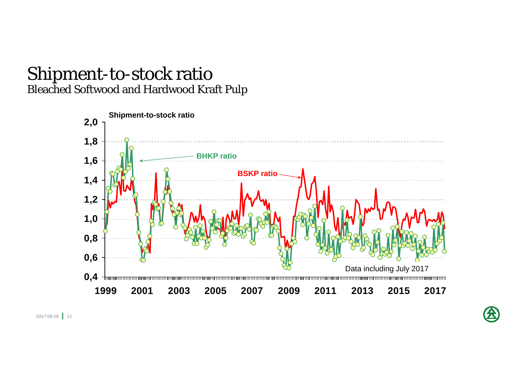### Shipment-to-stock ratio Bleached Softwood and Hardwood Kraft Pulp

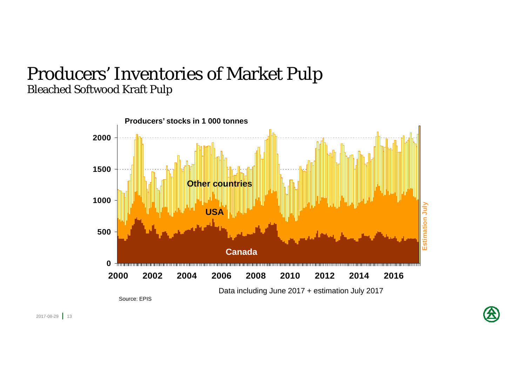## Producers' Inventories of Market Pulp Bleached Softwood Kraft Pulp

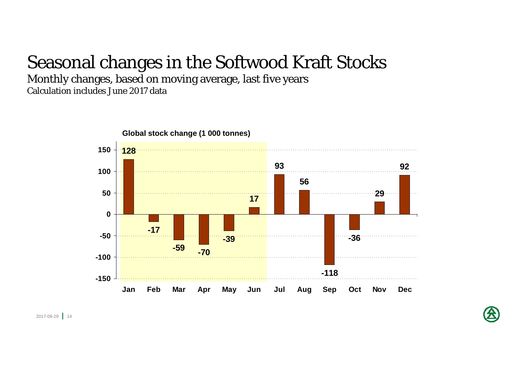## Seasonal changes in the Softwood Kraft Stocks

Monthly changes, based on moving average, last five years Calculation includes June 2017 data



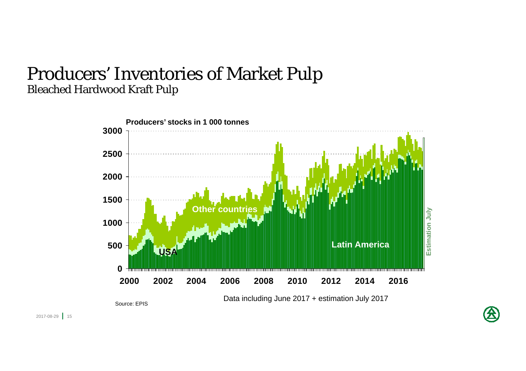### Producers' Inventories of Market Pulp Bleached Hardwood Kraft Pulp



Source: EPIS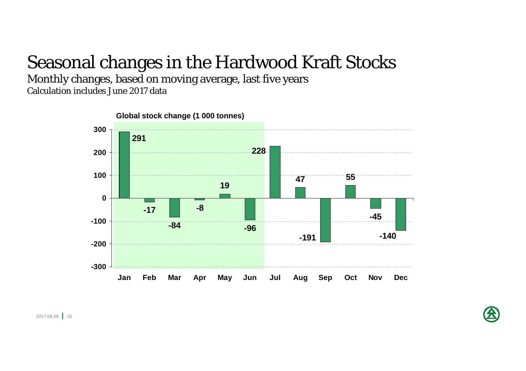## Seasonal changes in the Hardwood Kraft Stocks

Monthly changes, based on moving average, last five years Calculation includes June 2017 data



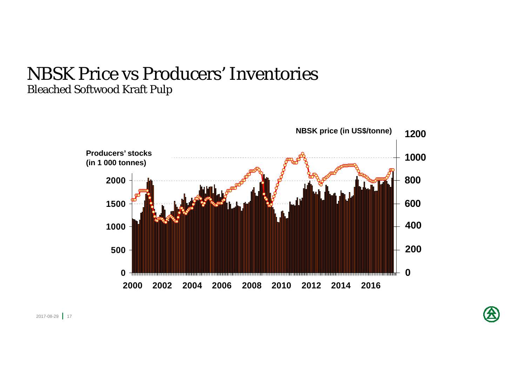### NBSK Price vs Producers' Inventories Bleached Softwood Kraft Pulp



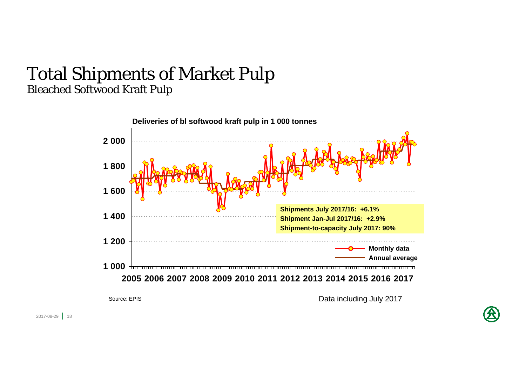#### Total Shipments of Market Pulp Bleached Softwood Kraft Pulp



Source: EPIS

Data including July 2017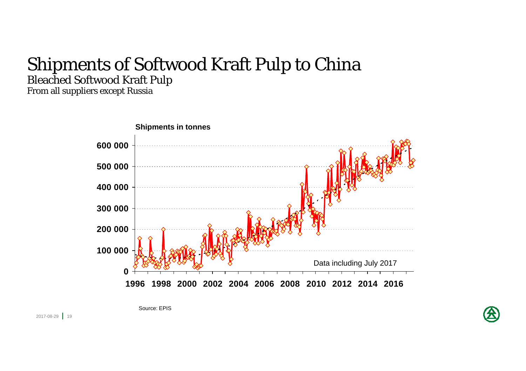## Shipments of Softwood Kraft Pulp to China Bleached Softwood Kraft Pulp

From all suppliers except Russia



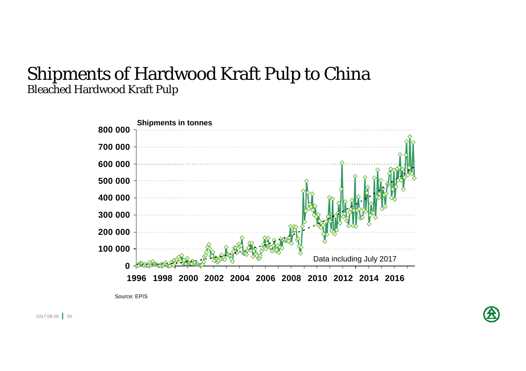### Shipments of Hardwood Kraft Pulp to China Bleached Hardwood Kraft Pulp



Source: EPIS

2017-08-29 <mark>|</mark> 20

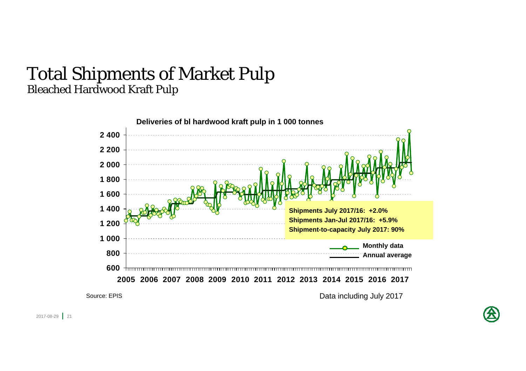#### Total Shipments of Market Pulp Bleached Hardwood Kraft Pulp



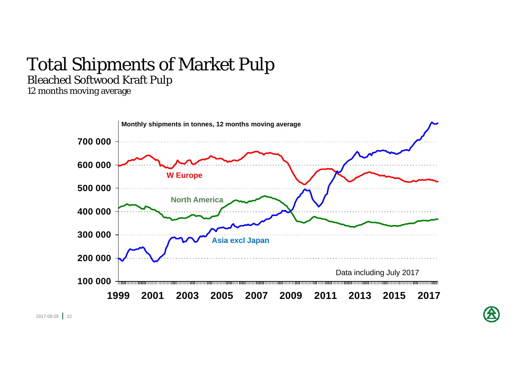# Total Shipments of Market Pulp

Bleached Softwood Kraft Pulp

12 months moving average



2017-08-29 <mark>|</mark> 22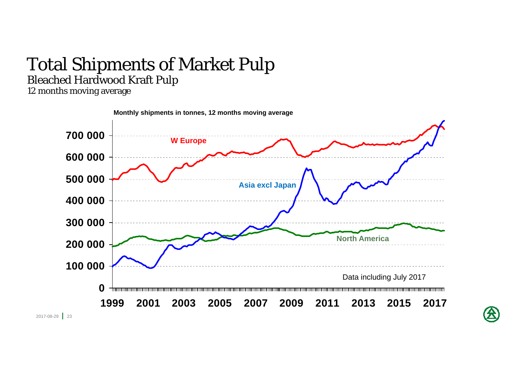# Total Shipments of Market Pulp

#### Bleached Hardwood Kraft Pulp

12 months moving average